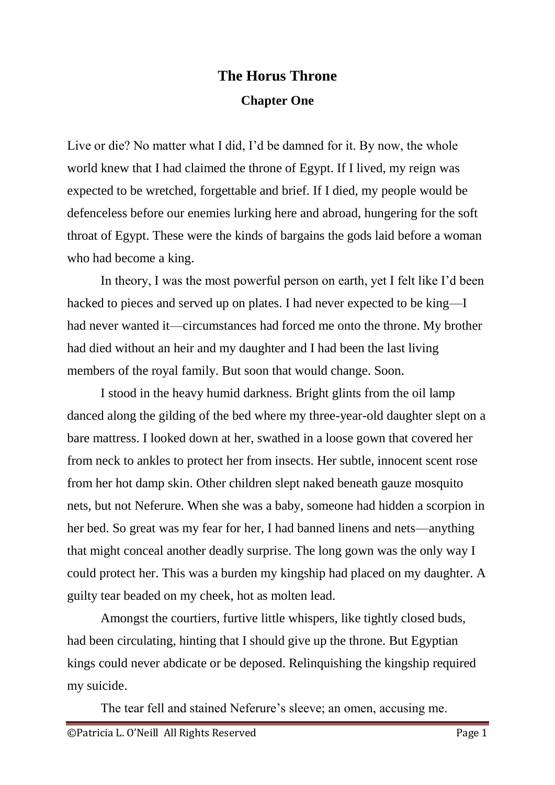## **The Horus Throne Chapter One**

Live or die? No matter what I did, I'd be damned for it. By now, the whole world knew that I had claimed the throne of Egypt. If I lived, my reign was expected to be wretched, forgettable and brief. If I died, my people would be defenceless before our enemies lurking here and abroad, hungering for the soft throat of Egypt. These were the kinds of bargains the gods laid before a woman who had become a king.

In theory, I was the most powerful person on earth, yet I felt like I'd been hacked to pieces and served up on plates. I had never expected to be king—I had never wanted it—circumstances had forced me onto the throne. My brother had died without an heir and my daughter and I had been the last living members of the royal family. But soon that would change. Soon.

I stood in the heavy humid darkness. Bright glints from the oil lamp danced along the gilding of the bed where my three-year-old daughter slept on a bare mattress. I looked down at her, swathed in a loose gown that covered her from neck to ankles to protect her from insects. Her subtle, innocent scent rose from her hot damp skin. Other children slept naked beneath gauze mosquito nets, but not Neferure. When she was a baby, someone had hidden a scorpion in her bed. So great was my fear for her, I had banned linens and nets—anything that might conceal another deadly surprise. The long gown was the only way I could protect her. This was a burden my kingship had placed on my daughter. A guilty tear beaded on my cheek, hot as molten lead.

Amongst the courtiers, furtive little whispers, like tightly closed buds, had been circulating, hinting that I should give up the throne. But Egyptian kings could never abdicate or be deposed. Relinquishing the kingship required my suicide.

The tear fell and stained Neferure's sleeve; an omen, accusing me.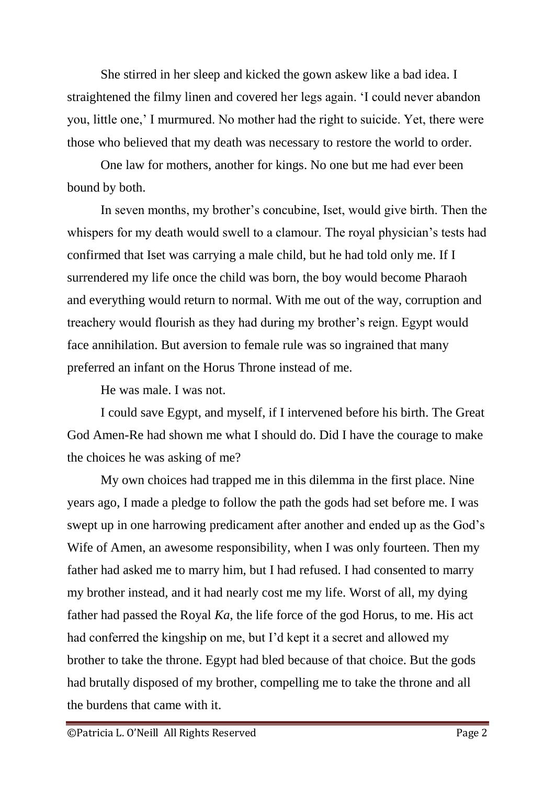She stirred in her sleep and kicked the gown askew like a bad idea. I straightened the filmy linen and covered her legs again. 'I could never abandon you, little one,' I murmured. No mother had the right to suicide. Yet, there were those who believed that my death was necessary to restore the world to order.

One law for mothers, another for kings. No one but me had ever been bound by both.

In seven months, my brother's concubine, Iset, would give birth. Then the whispers for my death would swell to a clamour. The royal physician's tests had confirmed that Iset was carrying a male child, but he had told only me. If I surrendered my life once the child was born, the boy would become Pharaoh and everything would return to normal. With me out of the way, corruption and treachery would flourish as they had during my brother's reign. Egypt would face annihilation. But aversion to female rule was so ingrained that many preferred an infant on the Horus Throne instead of me.

He was male. I was not.

I could save Egypt, and myself, if I intervened before his birth. The Great God Amen-Re had shown me what I should do. Did I have the courage to make the choices he was asking of me?

My own choices had trapped me in this dilemma in the first place. Nine years ago, I made a pledge to follow the path the gods had set before me. I was swept up in one harrowing predicament after another and ended up as the God's Wife of Amen, an awesome responsibility, when I was only fourteen. Then my father had asked me to marry him, but I had refused. I had consented to marry my brother instead, and it had nearly cost me my life. Worst of all, my dying father had passed the Royal *Ka*, the life force of the god Horus, to me. His act had conferred the kingship on me, but I'd kept it a secret and allowed my brother to take the throne. Egypt had bled because of that choice. But the gods had brutally disposed of my brother, compelling me to take the throne and all the burdens that came with it.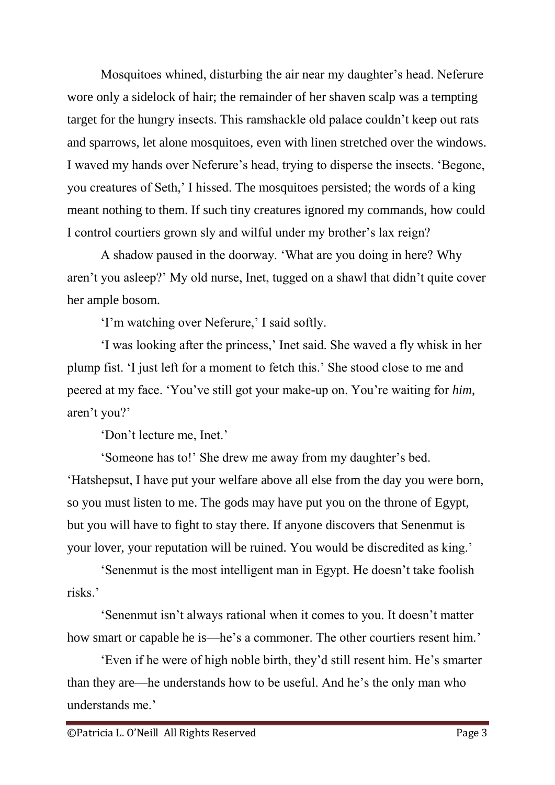Mosquitoes whined, disturbing the air near my daughter's head. Neferure wore only a sidelock of hair; the remainder of her shaven scalp was a tempting target for the hungry insects. This ramshackle old palace couldn't keep out rats and sparrows, let alone mosquitoes, even with linen stretched over the windows. I waved my hands over Neferure's head, trying to disperse the insects. 'Begone, you creatures of Seth,' I hissed. The mosquitoes persisted; the words of a king meant nothing to them. If such tiny creatures ignored my commands, how could I control courtiers grown sly and wilful under my brother's lax reign?

A shadow paused in the doorway. 'What are you doing in here? Why aren't you asleep?' My old nurse, Inet, tugged on a shawl that didn't quite cover her ample bosom.

'I'm watching over Neferure,' I said softly.

'I was looking after the princess,' Inet said. She waved a fly whisk in her plump fist. 'I just left for a moment to fetch this.' She stood close to me and peered at my face. 'You've still got your make-up on. You're waiting for *him*, aren't you?'

'Don't lecture me, Inet.'

'Someone has to!' She drew me away from my daughter's bed. 'Hatshepsut, I have put your welfare above all else from the day you were born, so you must listen to me. The gods may have put you on the throne of Egypt, but you will have to fight to stay there. If anyone discovers that Senenmut is your lover, your reputation will be ruined. You would be discredited as king.'

'Senenmut is the most intelligent man in Egypt. He doesn't take foolish risks.'

'Senenmut isn't always rational when it comes to you. It doesn't matter how smart or capable he is—he's a commoner. The other courtiers resent him.'

'Even if he were of high noble birth, they'd still resent him. He's smarter than they are—he understands how to be useful. And he's the only man who understands me.'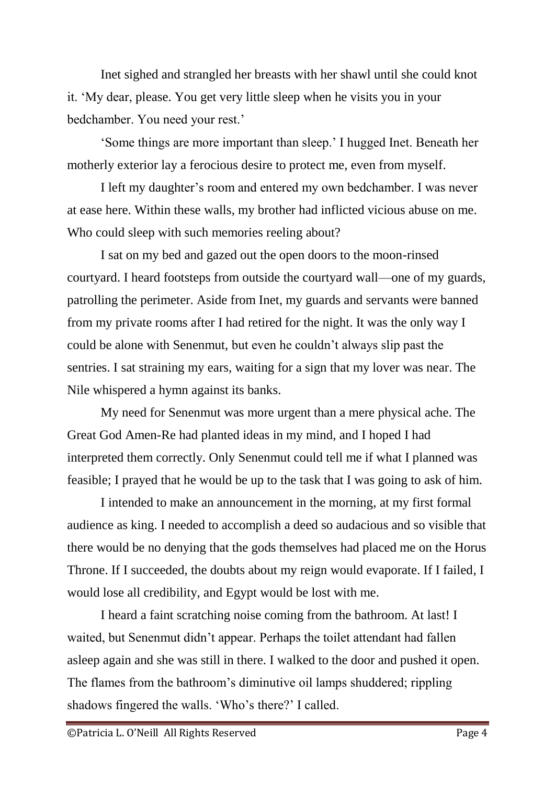Inet sighed and strangled her breasts with her shawl until she could knot it. 'My dear, please. You get very little sleep when he visits you in your bedchamber. You need your rest.'

'Some things are more important than sleep.' I hugged Inet. Beneath her motherly exterior lay a ferocious desire to protect me, even from myself.

I left my daughter's room and entered my own bedchamber. I was never at ease here. Within these walls, my brother had inflicted vicious abuse on me. Who could sleep with such memories reeling about?

I sat on my bed and gazed out the open doors to the moon-rinsed courtyard. I heard footsteps from outside the courtyard wall—one of my guards, patrolling the perimeter. Aside from Inet, my guards and servants were banned from my private rooms after I had retired for the night. It was the only way I could be alone with Senenmut, but even he couldn't always slip past the sentries. I sat straining my ears, waiting for a sign that my lover was near. The Nile whispered a hymn against its banks.

My need for Senenmut was more urgent than a mere physical ache. The Great God Amen-Re had planted ideas in my mind, and I hoped I had interpreted them correctly. Only Senenmut could tell me if what I planned was feasible; I prayed that he would be up to the task that I was going to ask of him.

I intended to make an announcement in the morning, at my first formal audience as king. I needed to accomplish a deed so audacious and so visible that there would be no denying that the gods themselves had placed me on the Horus Throne. If I succeeded, the doubts about my reign would evaporate. If I failed, I would lose all credibility, and Egypt would be lost with me.

I heard a faint scratching noise coming from the bathroom. At last! I waited, but Senenmut didn't appear. Perhaps the toilet attendant had fallen asleep again and she was still in there. I walked to the door and pushed it open. The flames from the bathroom's diminutive oil lamps shuddered; rippling shadows fingered the walls. 'Who's there?' I called.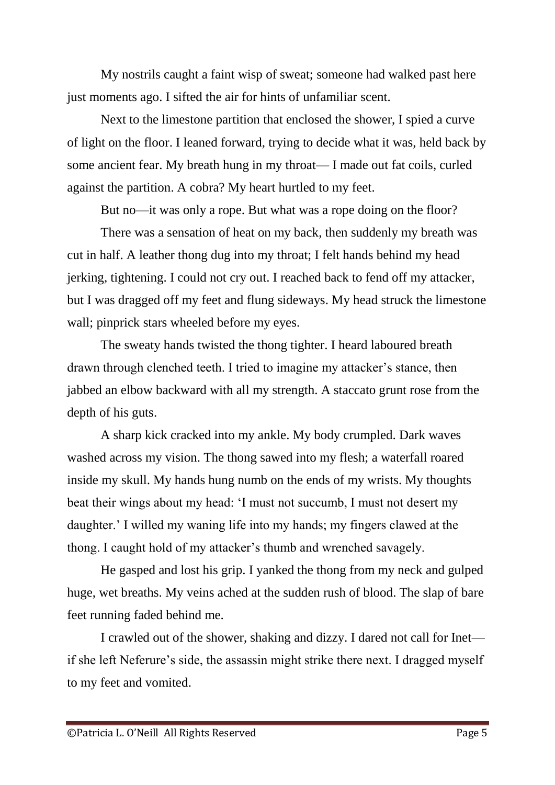My nostrils caught a faint wisp of sweat; someone had walked past here just moments ago. I sifted the air for hints of unfamiliar scent.

Next to the limestone partition that enclosed the shower, I spied a curve of light on the floor. I leaned forward, trying to decide what it was, held back by some ancient fear. My breath hung in my throat— I made out fat coils, curled against the partition. A cobra? My heart hurtled to my feet.

But no—it was only a rope. But what was a rope doing on the floor?

There was a sensation of heat on my back, then suddenly my breath was cut in half. A leather thong dug into my throat; I felt hands behind my head jerking, tightening. I could not cry out. I reached back to fend off my attacker, but I was dragged off my feet and flung sideways. My head struck the limestone wall; pinprick stars wheeled before my eyes.

The sweaty hands twisted the thong tighter. I heard laboured breath drawn through clenched teeth. I tried to imagine my attacker's stance, then jabbed an elbow backward with all my strength. A staccato grunt rose from the depth of his guts.

A sharp kick cracked into my ankle. My body crumpled. Dark waves washed across my vision. The thong sawed into my flesh; a waterfall roared inside my skull. My hands hung numb on the ends of my wrists. My thoughts beat their wings about my head: 'I must not succumb, I must not desert my daughter.' I willed my waning life into my hands; my fingers clawed at the thong. I caught hold of my attacker's thumb and wrenched savagely.

He gasped and lost his grip. I yanked the thong from my neck and gulped huge, wet breaths. My veins ached at the sudden rush of blood. The slap of bare feet running faded behind me.

I crawled out of the shower, shaking and dizzy. I dared not call for Inet if she left Neferure's side, the assassin might strike there next. I dragged myself to my feet and vomited.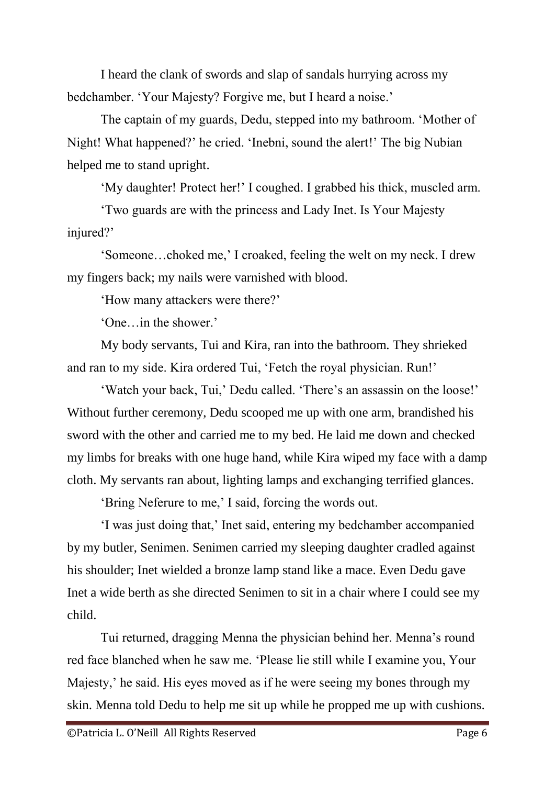I heard the clank of swords and slap of sandals hurrying across my bedchamber. 'Your Majesty? Forgive me, but I heard a noise.'

The captain of my guards, Dedu, stepped into my bathroom. 'Mother of Night! What happened?' he cried. 'Inebni, sound the alert!' The big Nubian helped me to stand upright.

'My daughter! Protect her!' I coughed. I grabbed his thick, muscled arm.

'Two guards are with the princess and Lady Inet. Is Your Majesty injured?'

'Someone…choked me,' I croaked, feeling the welt on my neck. I drew my fingers back; my nails were varnished with blood.

'How many attackers were there?'

'One…in the shower.'

My body servants, Tui and Kira, ran into the bathroom. They shrieked and ran to my side. Kira ordered Tui, 'Fetch the royal physician. Run!'

'Watch your back, Tui,' Dedu called. 'There's an assassin on the loose!' Without further ceremony, Dedu scooped me up with one arm, brandished his sword with the other and carried me to my bed. He laid me down and checked my limbs for breaks with one huge hand, while Kira wiped my face with a damp cloth. My servants ran about, lighting lamps and exchanging terrified glances.

'Bring Neferure to me,' I said, forcing the words out.

'I was just doing that,' Inet said, entering my bedchamber accompanied by my butler, Senimen. Senimen carried my sleeping daughter cradled against his shoulder; Inet wielded a bronze lamp stand like a mace. Even Dedu gave Inet a wide berth as she directed Senimen to sit in a chair where I could see my child.

Tui returned, dragging Menna the physician behind her. Menna's round red face blanched when he saw me. 'Please lie still while I examine you, Your Majesty,' he said. His eyes moved as if he were seeing my bones through my skin. Menna told Dedu to help me sit up while he propped me up with cushions.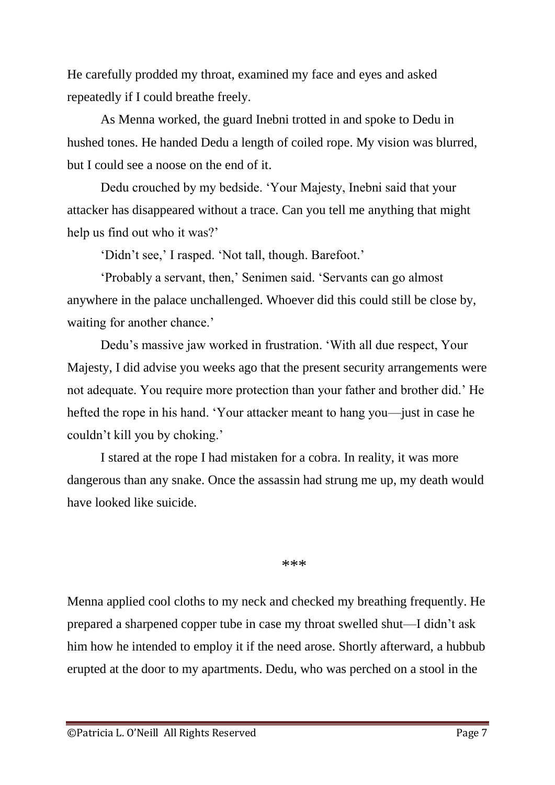He carefully prodded my throat, examined my face and eyes and asked repeatedly if I could breathe freely.

As Menna worked, the guard Inebni trotted in and spoke to Dedu in hushed tones. He handed Dedu a length of coiled rope. My vision was blurred, but I could see a noose on the end of it.

Dedu crouched by my bedside. 'Your Majesty, Inebni said that your attacker has disappeared without a trace. Can you tell me anything that might help us find out who it was?'

'Didn't see,' I rasped. 'Not tall, though. Barefoot.'

'Probably a servant, then,' Senimen said. 'Servants can go almost anywhere in the palace unchallenged. Whoever did this could still be close by, waiting for another chance.'

Dedu's massive jaw worked in frustration. 'With all due respect, Your Majesty, I did advise you weeks ago that the present security arrangements were not adequate. You require more protection than your father and brother did.' He hefted the rope in his hand. 'Your attacker meant to hang you—just in case he couldn't kill you by choking.'

I stared at the rope I had mistaken for a cobra. In reality, it was more dangerous than any snake. Once the assassin had strung me up, my death would have looked like suicide.

## \*\*\*

Menna applied cool cloths to my neck and checked my breathing frequently. He prepared a sharpened copper tube in case my throat swelled shut—I didn't ask him how he intended to employ it if the need arose. Shortly afterward, a hubbub erupted at the door to my apartments. Dedu, who was perched on a stool in the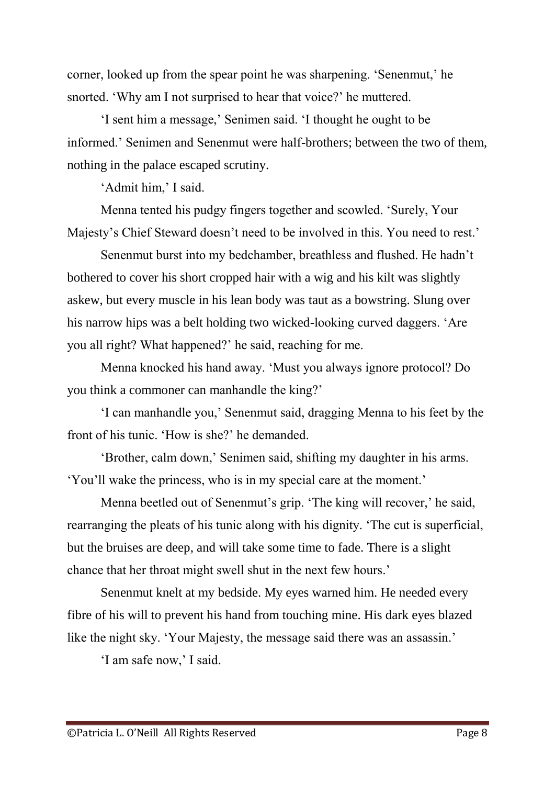corner, looked up from the spear point he was sharpening. 'Senenmut,' he snorted. 'Why am I not surprised to hear that voice?' he muttered.

'I sent him a message,' Senimen said. 'I thought he ought to be informed.' Senimen and Senenmut were half-brothers; between the two of them, nothing in the palace escaped scrutiny.

'Admit him,' I said.

Menna tented his pudgy fingers together and scowled. 'Surely, Your Majesty's Chief Steward doesn't need to be involved in this. You need to rest.'

Senenmut burst into my bedchamber, breathless and flushed. He hadn't bothered to cover his short cropped hair with a wig and his kilt was slightly askew, but every muscle in his lean body was taut as a bowstring. Slung over his narrow hips was a belt holding two wicked-looking curved daggers. 'Are you all right? What happened?' he said, reaching for me.

Menna knocked his hand away. 'Must you always ignore protocol? Do you think a commoner can manhandle the king?'

'I can manhandle you,' Senenmut said, dragging Menna to his feet by the front of his tunic. 'How is she?' he demanded.

'Brother, calm down,' Senimen said, shifting my daughter in his arms. 'You'll wake the princess, who is in my special care at the moment.'

Menna beetled out of Senenmut's grip. 'The king will recover,' he said, rearranging the pleats of his tunic along with his dignity. 'The cut is superficial, but the bruises are deep, and will take some time to fade. There is a slight chance that her throat might swell shut in the next few hours.'

Senenmut knelt at my bedside. My eyes warned him. He needed every fibre of his will to prevent his hand from touching mine. His dark eyes blazed like the night sky. 'Your Majesty, the message said there was an assassin.'

'I am safe now,' I said.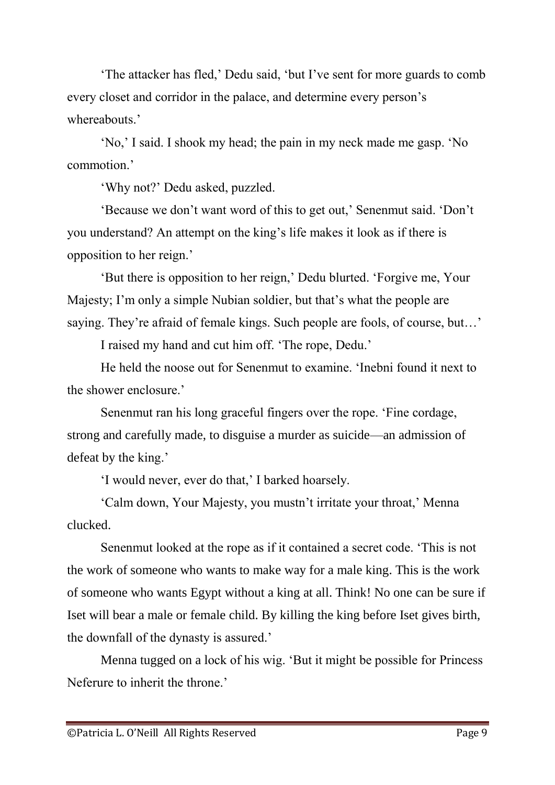'The attacker has fled,' Dedu said, 'but I've sent for more guards to comb every closet and corridor in the palace, and determine every person's whereabouts<sup>?</sup>

'No,' I said. I shook my head; the pain in my neck made me gasp. 'No commotion.'

'Why not?' Dedu asked, puzzled.

'Because we don't want word of this to get out,' Senenmut said. 'Don't you understand? An attempt on the king's life makes it look as if there is opposition to her reign.'

'But there is opposition to her reign,' Dedu blurted. 'Forgive me, Your Majesty; I'm only a simple Nubian soldier, but that's what the people are saying. They're afraid of female kings. Such people are fools, of course, but…'

I raised my hand and cut him off. 'The rope, Dedu.'

He held the noose out for Senenmut to examine. 'Inebni found it next to the shower enclosure.'

Senenmut ran his long graceful fingers over the rope. 'Fine cordage, strong and carefully made, to disguise a murder as suicide—an admission of defeat by the king.'

'I would never, ever do that,' I barked hoarsely.

'Calm down, Your Majesty, you mustn't irritate your throat,' Menna clucked.

Senenmut looked at the rope as if it contained a secret code. 'This is not the work of someone who wants to make way for a male king. This is the work of someone who wants Egypt without a king at all. Think! No one can be sure if Iset will bear a male or female child. By killing the king before Iset gives birth, the downfall of the dynasty is assured.'

Menna tugged on a lock of his wig. 'But it might be possible for Princess Neferure to inherit the throne.'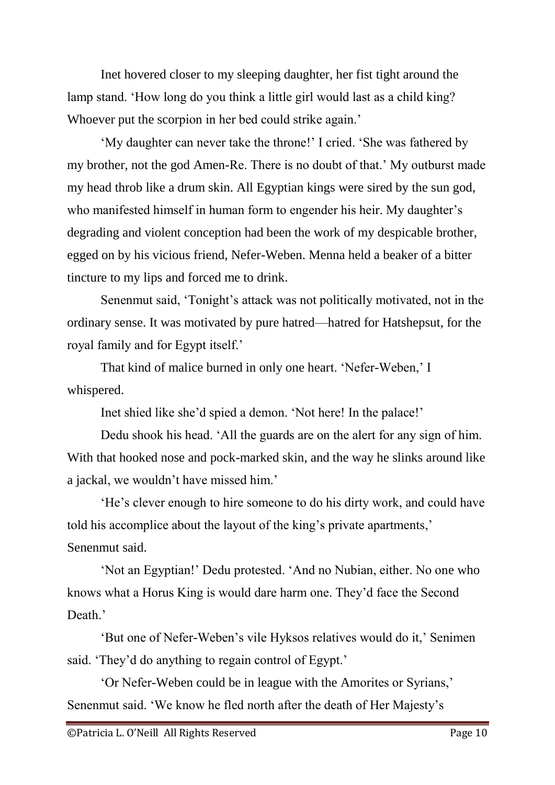Inet hovered closer to my sleeping daughter, her fist tight around the lamp stand. 'How long do you think a little girl would last as a child king? Whoever put the scorpion in her bed could strike again.'

'My daughter can never take the throne!' I cried. 'She was fathered by my brother, not the god Amen-Re. There is no doubt of that.' My outburst made my head throb like a drum skin. All Egyptian kings were sired by the sun god, who manifested himself in human form to engender his heir. My daughter's degrading and violent conception had been the work of my despicable brother, egged on by his vicious friend, Nefer-Weben. Menna held a beaker of a bitter tincture to my lips and forced me to drink.

Senenmut said, 'Tonight's attack was not politically motivated, not in the ordinary sense. It was motivated by pure hatred—hatred for Hatshepsut, for the royal family and for Egypt itself.'

That kind of malice burned in only one heart. 'Nefer-Weben,' I whispered.

Inet shied like she'd spied a demon. 'Not here! In the palace!'

Dedu shook his head. 'All the guards are on the alert for any sign of him. With that hooked nose and pock-marked skin, and the way he slinks around like a jackal, we wouldn't have missed him.'

'He's clever enough to hire someone to do his dirty work, and could have told his accomplice about the layout of the king's private apartments,' Senenmut said.

'Not an Egyptian!' Dedu protested. 'And no Nubian, either. No one who knows what a Horus King is would dare harm one. They'd face the Second Death.'

'But one of Nefer-Weben's vile Hyksos relatives would do it,' Senimen said. 'They'd do anything to regain control of Egypt.'

'Or Nefer-Weben could be in league with the Amorites or Syrians,' Senenmut said. 'We know he fled north after the death of Her Majesty's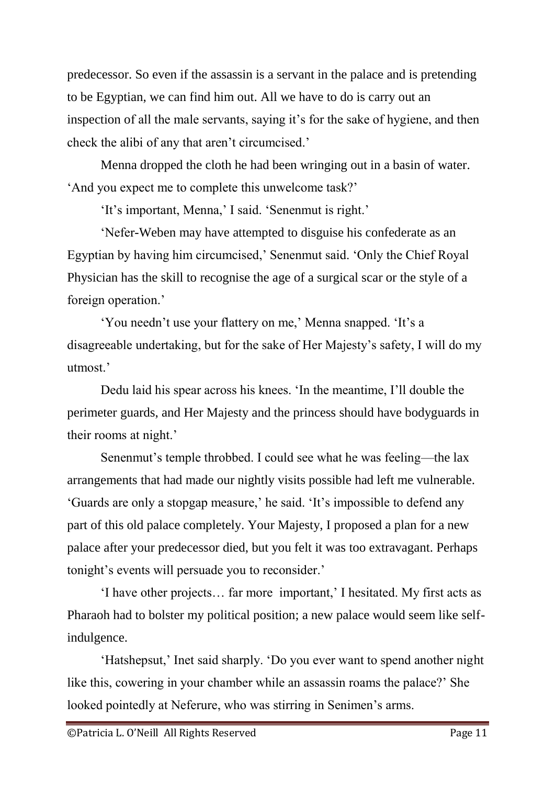predecessor. So even if the assassin is a servant in the palace and is pretending to be Egyptian, we can find him out. All we have to do is carry out an inspection of all the male servants, saying it's for the sake of hygiene, and then check the alibi of any that aren't circumcised.'

Menna dropped the cloth he had been wringing out in a basin of water. 'And you expect me to complete this unwelcome task?'

'It's important, Menna,' I said. 'Senenmut is right.'

'Nefer-Weben may have attempted to disguise his confederate as an Egyptian by having him circumcised,' Senenmut said. 'Only the Chief Royal Physician has the skill to recognise the age of a surgical scar or the style of a foreign operation.'

'You needn't use your flattery on me,' Menna snapped. 'It's a disagreeable undertaking, but for the sake of Her Majesty's safety, I will do my utmost.'

Dedu laid his spear across his knees. 'In the meantime, I'll double the perimeter guards, and Her Majesty and the princess should have bodyguards in their rooms at night.'

Senenmut's temple throbbed. I could see what he was feeling—the lax arrangements that had made our nightly visits possible had left me vulnerable. 'Guards are only a stopgap measure,' he said. 'It's impossible to defend any part of this old palace completely. Your Majesty, I proposed a plan for a new palace after your predecessor died, but you felt it was too extravagant. Perhaps tonight's events will persuade you to reconsider.'

'I have other projects… far more important,' I hesitated. My first acts as Pharaoh had to bolster my political position; a new palace would seem like selfindulgence.

'Hatshepsut,' Inet said sharply. 'Do you ever want to spend another night like this, cowering in your chamber while an assassin roams the palace?' She looked pointedly at Neferure, who was stirring in Senimen's arms.